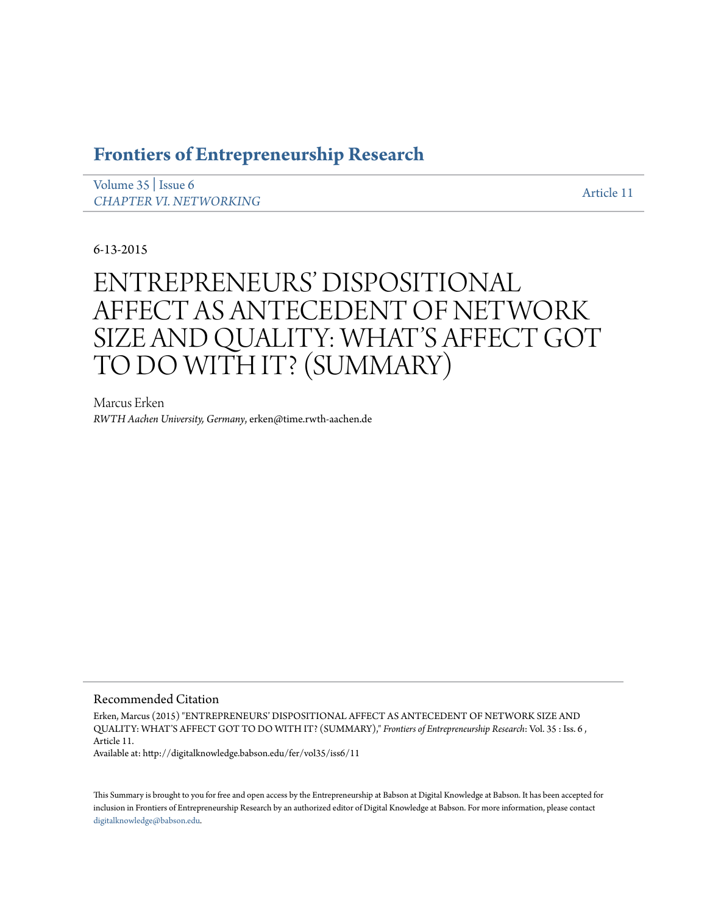# **[Frontiers of Entrepreneurship Research](http://digitalknowledge.babson.edu/fer)**

[Volume 35](http://digitalknowledge.babson.edu/fer/vol35) | [Issue 6](http://digitalknowledge.babson.edu/fer/vol35/iss6) *[CHAPTER VI. NETWORKING](http://digitalknowledge.babson.edu/fer/vol35/iss6)* And the state of the state of the state of the state of the state of the state of the state of the state of the state of the state of the state of the state of the state of the state of the state o

6-13-2015

# ENTREPRENEURS' DISPOSITIONAL AFFECT AS ANTECEDENT OF NETWORK SIZE AND QUALITY: WHAT'S AFFECT GOT TO DO WITH IT? (SUMMARY)

Marcus Erken *RWTH Aachen University, Germany*, erken@time.rwth-aachen.de

### Recommended Citation

Erken, Marcus (2015) "ENTREPRENEURS' DISPOSITIONAL AFFECT AS ANTECEDENT OF NETWORK SIZE AND QUALITY: WHAT'S AFFECT GOT TO DO WITH IT? (SUMMARY)," *Frontiers of Entrepreneurship Research*: Vol. 35 : Iss. 6 , Article 11.

Available at: http://digitalknowledge.babson.edu/fer/vol35/iss6/11

This Summary is brought to you for free and open access by the Entrepreneurship at Babson at Digital Knowledge at Babson. It has been accepted for inclusion in Frontiers of Entrepreneurship Research by an authorized editor of Digital Knowledge at Babson. For more information, please contact [digitalknowledge@babson.edu](mailto:digitalknowledge@babson.edu).